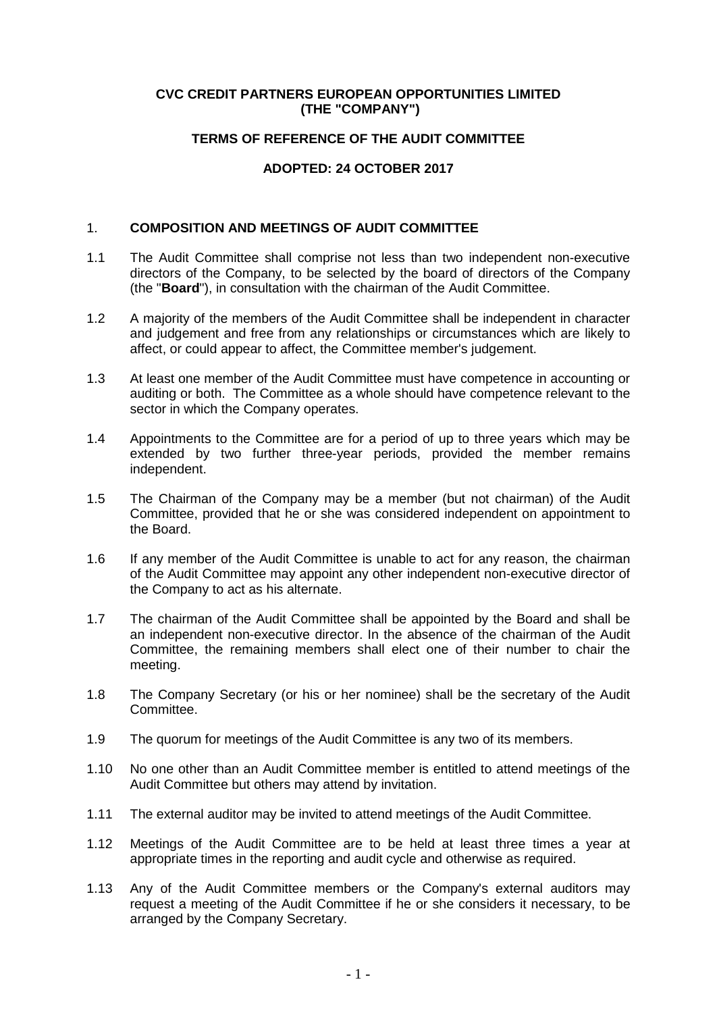### **CVC CREDIT PARTNERS EUROPEAN OPPORTUNITIES LIMITED (THE "COMPANY")**

# **TERMS OF REFERENCE OF THE AUDIT COMMITTEE**

# **ADOPTED: 24 OCTOBER 2017**

### 1. **COMPOSITION AND MEETINGS OF AUDIT COMMITTEE**

- 1.1 The Audit Committee shall comprise not less than two independent non-executive directors of the Company, to be selected by the board of directors of the Company (the "**Board**"), in consultation with the chairman of the Audit Committee.
- 1.2 A majority of the members of the Audit Committee shall be independent in character and judgement and free from any relationships or circumstances which are likely to affect, or could appear to affect, the Committee member's judgement.
- 1.3 At least one member of the Audit Committee must have competence in accounting or auditing or both. The Committee as a whole should have competence relevant to the sector in which the Company operates.
- 1.4 Appointments to the Committee are for a period of up to three years which may be extended by two further three-year periods, provided the member remains independent.
- 1.5 The Chairman of the Company may be a member (but not chairman) of the Audit Committee, provided that he or she was considered independent on appointment to the Board.
- 1.6 If any member of the Audit Committee is unable to act for any reason, the chairman of the Audit Committee may appoint any other independent non-executive director of the Company to act as his alternate.
- 1.7 The chairman of the Audit Committee shall be appointed by the Board and shall be an independent non-executive director. In the absence of the chairman of the Audit Committee, the remaining members shall elect one of their number to chair the meeting.
- 1.8 The Company Secretary (or his or her nominee) shall be the secretary of the Audit Committee.
- 1.9 The quorum for meetings of the Audit Committee is any two of its members.
- 1.10 No one other than an Audit Committee member is entitled to attend meetings of the Audit Committee but others may attend by invitation.
- 1.11 The external auditor may be invited to attend meetings of the Audit Committee.
- 1.12 Meetings of the Audit Committee are to be held at least three times a year at appropriate times in the reporting and audit cycle and otherwise as required.
- 1.13 Any of the Audit Committee members or the Company's external auditors may request a meeting of the Audit Committee if he or she considers it necessary, to be arranged by the Company Secretary.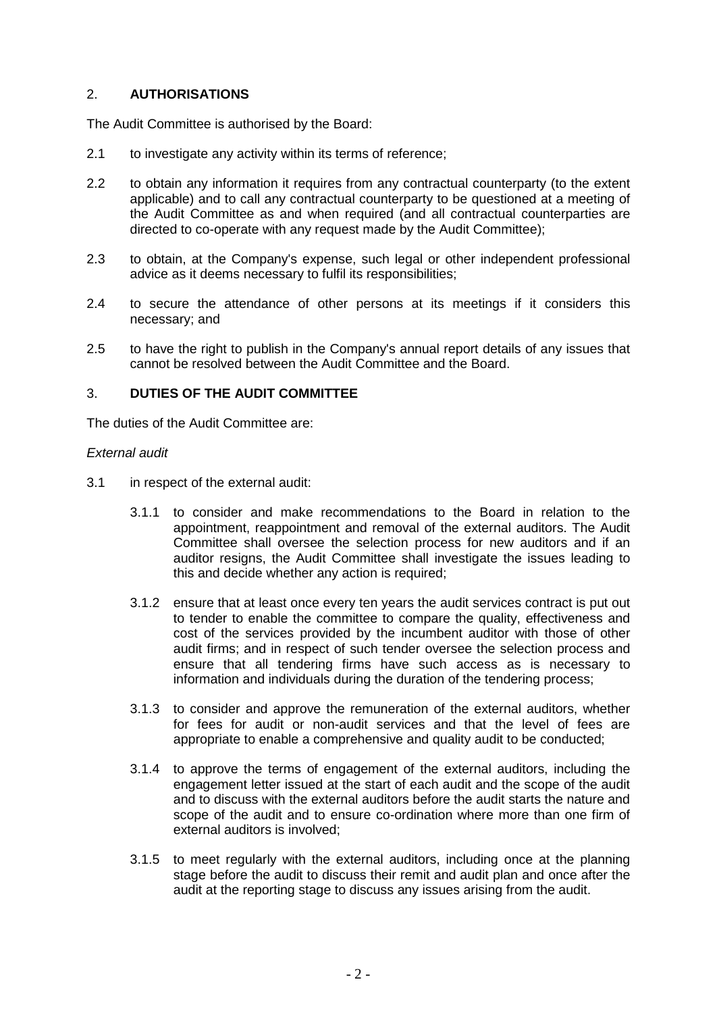# 2. **AUTHORISATIONS**

The Audit Committee is authorised by the Board:

- 2.1 to investigate any activity within its terms of reference:
- 2.2 to obtain any information it requires from any contractual counterparty (to the extent applicable) and to call any contractual counterparty to be questioned at a meeting of the Audit Committee as and when required (and all contractual counterparties are directed to co-operate with any request made by the Audit Committee);
- 2.3 to obtain, at the Company's expense, such legal or other independent professional advice as it deems necessary to fulfil its responsibilities;
- 2.4 to secure the attendance of other persons at its meetings if it considers this necessary; and
- 2.5 to have the right to publish in the Company's annual report details of any issues that cannot be resolved between the Audit Committee and the Board.

# 3. **DUTIES OF THE AUDIT COMMITTEE**

The duties of the Audit Committee are:

### *External audit*

- 3.1 in respect of the external audit:
	- 3.1.1 to consider and make recommendations to the Board in relation to the appointment, reappointment and removal of the external auditors. The Audit Committee shall oversee the selection process for new auditors and if an auditor resigns, the Audit Committee shall investigate the issues leading to this and decide whether any action is required;
	- 3.1.2 ensure that at least once every ten years the audit services contract is put out to tender to enable the committee to compare the quality, effectiveness and cost of the services provided by the incumbent auditor with those of other audit firms; and in respect of such tender oversee the selection process and ensure that all tendering firms have such access as is necessary to information and individuals during the duration of the tendering process;
	- 3.1.3 to consider and approve the remuneration of the external auditors, whether for fees for audit or non-audit services and that the level of fees are appropriate to enable a comprehensive and quality audit to be conducted;
	- 3.1.4 to approve the terms of engagement of the external auditors, including the engagement letter issued at the start of each audit and the scope of the audit and to discuss with the external auditors before the audit starts the nature and scope of the audit and to ensure co-ordination where more than one firm of external auditors is involved;
	- 3.1.5 to meet regularly with the external auditors, including once at the planning stage before the audit to discuss their remit and audit plan and once after the audit at the reporting stage to discuss any issues arising from the audit.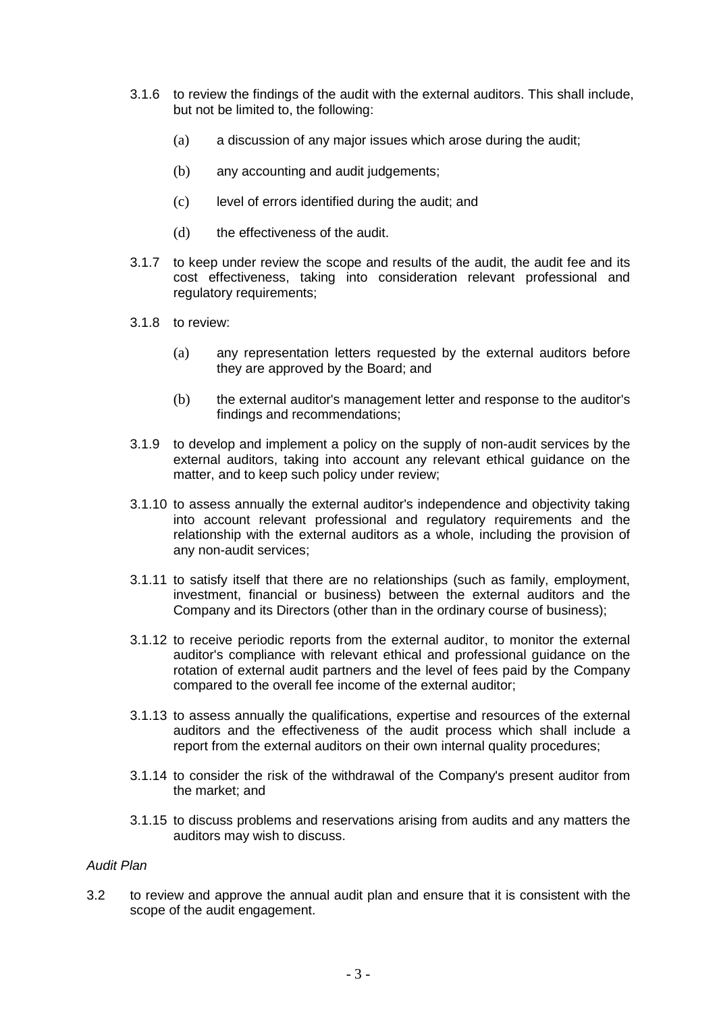- 3.1.6 to review the findings of the audit with the external auditors. This shall include, but not be limited to, the following:
	- (a) a discussion of any major issues which arose during the audit;
	- (b) any accounting and audit judgements;
	- (c) level of errors identified during the audit; and
	- (d) the effectiveness of the audit.
- 3.1.7 to keep under review the scope and results of the audit, the audit fee and its cost effectiveness, taking into consideration relevant professional and regulatory requirements:
- 3.1.8 to review:
	- (a) any representation letters requested by the external auditors before they are approved by the Board; and
	- (b) the external auditor's management letter and response to the auditor's findings and recommendations;
- 3.1.9 to develop and implement a policy on the supply of non-audit services by the external auditors, taking into account any relevant ethical guidance on the matter, and to keep such policy under review;
- 3.1.10 to assess annually the external auditor's independence and objectivity taking into account relevant professional and regulatory requirements and the relationship with the external auditors as a whole, including the provision of any non-audit services;
- 3.1.11 to satisfy itself that there are no relationships (such as family, employment, investment, financial or business) between the external auditors and the Company and its Directors (other than in the ordinary course of business);
- 3.1.12 to receive periodic reports from the external auditor, to monitor the external auditor's compliance with relevant ethical and professional guidance on the rotation of external audit partners and the level of fees paid by the Company compared to the overall fee income of the external auditor;
- 3.1.13 to assess annually the qualifications, expertise and resources of the external auditors and the effectiveness of the audit process which shall include a report from the external auditors on their own internal quality procedures;
- 3.1.14 to consider the risk of the withdrawal of the Company's present auditor from the market; and
- 3.1.15 to discuss problems and reservations arising from audits and any matters the auditors may wish to discuss.

### *Audit Plan*

3.2 to review and approve the annual audit plan and ensure that it is consistent with the scope of the audit engagement.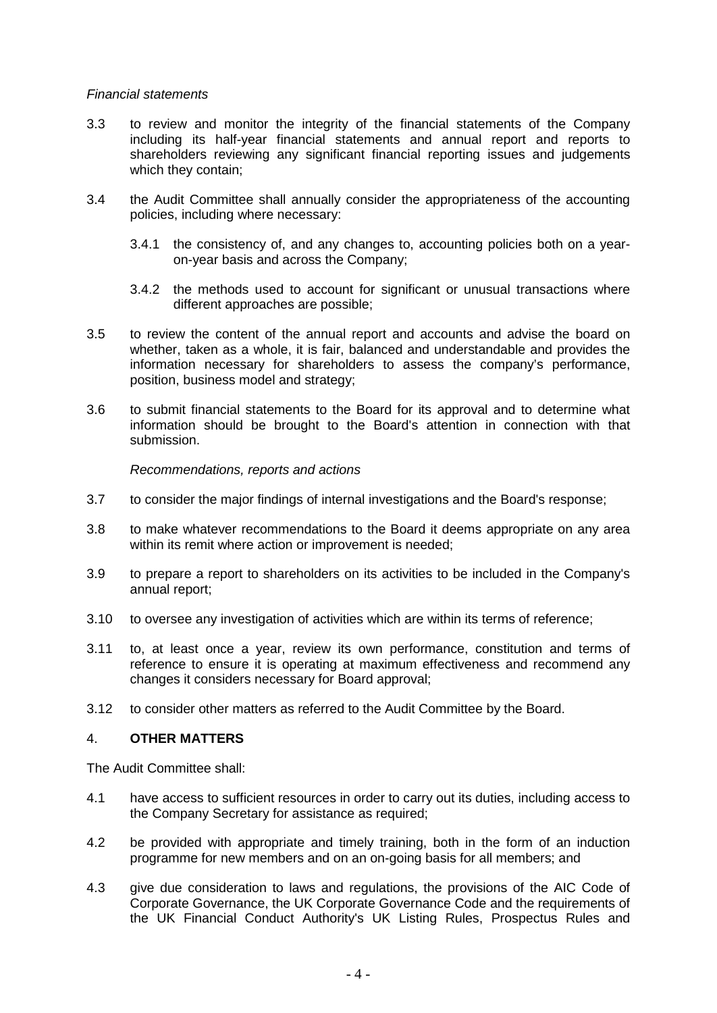#### *Financial statements*

- 3.3 to review and monitor the integrity of the financial statements of the Company including its half-year financial statements and annual report and reports to shareholders reviewing any significant financial reporting issues and judgements which they contain;
- 3.4 the Audit Committee shall annually consider the appropriateness of the accounting policies, including where necessary:
	- 3.4.1 the consistency of, and any changes to, accounting policies both on a yearon-year basis and across the Company;
	- 3.4.2 the methods used to account for significant or unusual transactions where different approaches are possible;
- 3.5 to review the content of the annual report and accounts and advise the board on whether, taken as a whole, it is fair, balanced and understandable and provides the information necessary for shareholders to assess the company's performance, position, business model and strategy;
- 3.6 to submit financial statements to the Board for its approval and to determine what information should be brought to the Board's attention in connection with that submission.

*Recommendations, reports and actions*

- 3.7 to consider the major findings of internal investigations and the Board's response;
- 3.8 to make whatever recommendations to the Board it deems appropriate on any area within its remit where action or improvement is needed:
- 3.9 to prepare a report to shareholders on its activities to be included in the Company's annual report;
- 3.10 to oversee any investigation of activities which are within its terms of reference;
- 3.11 to, at least once a year, review its own performance, constitution and terms of reference to ensure it is operating at maximum effectiveness and recommend any changes it considers necessary for Board approval;
- 3.12 to consider other matters as referred to the Audit Committee by the Board.

#### 4. **OTHER MATTERS**

The Audit Committee shall:

- 4.1 have access to sufficient resources in order to carry out its duties, including access to the Company Secretary for assistance as required;
- 4.2 be provided with appropriate and timely training, both in the form of an induction programme for new members and on an on-going basis for all members; and
- 4.3 give due consideration to laws and regulations, the provisions of the AIC Code of Corporate Governance, the UK Corporate Governance Code and the requirements of the UK Financial Conduct Authority's UK Listing Rules, Prospectus Rules and